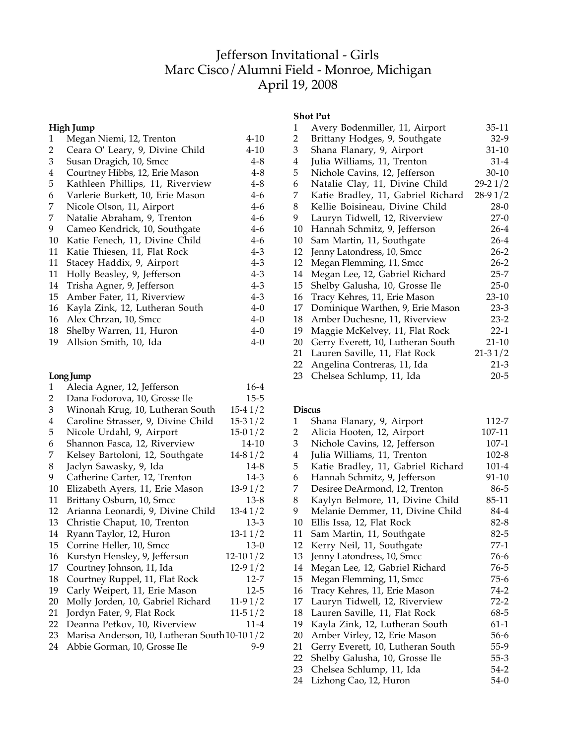# Jefferson Invitational - Girls Marc Cisco/Alumni Field - Monroe, Michigan April 19, 2008

# **High Jump**

| 1  | Megan Niemi, 12, Trenton         | 4-10     |
|----|----------------------------------|----------|
| 2  | Ceara O' Leary, 9, Divine Child  | $4 - 10$ |
| 3  | Susan Dragich, 10, Smcc          | 4-8      |
| 4  | Courtney Hibbs, 12, Erie Mason   | $4 - 8$  |
| 5  | Kathleen Phillips, 11, Riverview | $4 - 8$  |
| 6  | Varlerie Burkett, 10, Erie Mason | $4-6$    |
| 7  | Nicole Olson, 11, Airport        | $4-6$    |
| 7  | Natalie Abraham, 9, Trenton      | $4-6$    |
| 9  | Cameo Kendrick, 10, Southgate    | $4-6$    |
| 10 | Katie Fenech, 11, Divine Child   | $4-6$    |
| 11 | Katie Thiesen, 11, Flat Rock     | $4 - 3$  |
| 11 | Stacey Haddix, 9, Airport        | $4 - 3$  |
| 11 | Holly Beasley, 9, Jefferson      | $4 - 3$  |
| 14 | Trisha Agner, 9, Jefferson       | $4 - 3$  |
| 15 | Amber Fater, 11, Riverview       | $4 - 3$  |
| 16 | Kayla Zink, 12, Lutheran South   | $4 - 0$  |
| 16 | Alex Chrzan, 10, Smcc            | $4 - 0$  |
| 18 | Shelby Warren, 11, Huron         | $4 - 0$  |
| 19 | Allsion Smith, 10, Ida           | 4-0      |
|    |                                  |          |

# **Long Jump**

| 1              | Alecia Agner, 12, Jefferson                   | $16-4$     |
|----------------|-----------------------------------------------|------------|
| $\overline{2}$ | Dana Fodorova, 10, Grosse Ile                 | 15-5       |
| 3              | Winonah Krug, 10, Lutheran South              | $15-41/2$  |
| 4              | Caroline Strasser, 9, Divine Child            | $15-31/2$  |
| 5              | Nicole Urdahl, 9, Airport                     | $15-01/2$  |
| 6              | Shannon Fasca, 12, Riverview                  | 14-10      |
| 7              | Kelsey Bartoloni, 12, Southgate               | $14-81/2$  |
| 8              | Jaclyn Sawasky, 9, Ida                        | $14 - 8$   |
| 9              | Catherine Carter, 12, Trenton                 | 14-3       |
| 10             | Elizabeth Ayers, 11, Erie Mason               | $13-91/2$  |
| 11             | Brittany Osburn, 10, Smcc                     | $13-8$     |
| 12             | Arianna Leonardi, 9, Divine Child             | $13-41/2$  |
| 13             | Christie Chaput, 10, Trenton                  | $13-3$     |
| 14             | Ryann Taylor, 12, Huron                       | $13-11/2$  |
| 15             | Corrine Heller, 10, Smcc                      | $13-0$     |
| 16             | Kurstyn Hensley, 9, Jefferson                 | $12-101/2$ |
| 17             | Courtney Johnson, 11, Ida                     | $12-91/2$  |
| 18             | Courtney Ruppel, 11, Flat Rock                | $12 - 7$   |
| 19             | Carly Weipert, 11, Erie Mason                 | $12 - 5$   |
| 20             | Molly Jorden, 10, Gabriel Richard             | $11-91/2$  |
| 21             | Jordyn Fater, 9, Flat Rock                    | $11-51/2$  |
| 22             | Deanna Petkov, 10, Riverview                  | $11 - 4$   |
| 23             | Marisa Anderson, 10, Lutheran South 10-10 1/2 |            |
| 24             | Abbie Gorman, 10, Grosse Ile                  | 9-9        |
|                |                                               |            |

# **Shot Put**

| 1  | Avery Bodenmiller, 11, Airport     | $35-11$     |
|----|------------------------------------|-------------|
| 2  | Brittany Hodges, 9, Southgate      | $32-9$      |
| 3  | Shana Flanary, 9, Airport          | $31-10$     |
| 4  | Julia Williams, 11, Trenton        | 31-4        |
| 5  | Nichole Cavins, 12, Jefferson      | 30-10       |
| 6  | Natalie Clay, 11, Divine Child     | $29 - 21/2$ |
| 7  | Katie Bradley, 11, Gabriel Richard | $28-91/2$   |
| 8  | Kellie Boisineau, Divine Child     | $28-0$      |
| 9  | Lauryn Tidwell, 12, Riverview      | $27-0$      |
| 10 | Hannah Schmitz, 9, Jefferson       | 26-4        |
| 10 | Sam Martin, 11, Southgate          | 26-4        |
| 12 | Jenny Latondress, 10, Smcc         | 26-2        |
| 12 | Megan Flemming, 11, Smcc           | $26 - 2$    |
| 14 | Megan Lee, 12, Gabriel Richard     | 25-7        |
| 15 | Shelby Galusha, 10, Grosse Ile     | $25-0$      |
| 16 | Tracy Kehres, 11, Erie Mason       | 23-10       |
| 17 | Dominique Warthen, 9, Erie Mason   | $23-3$      |
| 18 | Amber Duchesne, 11, Riverview      | $23-2$      |
| 19 | Maggie McKelvey, 11, Flat Rock     | $22 - 1$    |
| 20 | Gerry Everett, 10, Lutheran South  | $21-10$     |
| 21 | Lauren Saville, 11, Flat Rock      | $21 - 31/2$ |
| 22 | Angelina Contreras, 11, Ida        | 21-3        |
| 23 | Chelsea Schlump, 11, Ida           | $20 - 5$    |

### **Discus**

| 1  | Shana Flanary, 9, Airport          | 112-7     |
|----|------------------------------------|-----------|
| 2  | Alicia Hooten, 12, Airport         | 107-11    |
| 3  | Nichole Cavins, 12, Jefferson      | $107-1$   |
| 4  | Julia Williams, 11, Trenton        | $102 - 8$ |
| 5  | Katie Bradley, 11, Gabriel Richard | $101 - 4$ |
| 6  | Hannah Schmitz, 9, Jefferson       | 91-10     |
| 7  | Desiree DeArmond, 12, Trenton      | 86-5      |
| 8  | Kaylyn Belmore, 11, Divine Child   | 85-11     |
| 9  | Melanie Demmer, 11, Divine Child   | 84-4      |
| 10 | Ellis Issa, 12, Flat Rock          | $82 - 8$  |
| 11 | Sam Martin, 11, Southgate          | $82 - 5$  |
| 12 | Kerry Neil, 11, Southgate          | 77-1      |
| 13 | Jenny Latondress, 10, Smcc         | $76-6$    |
| 14 | Megan Lee, 12, Gabriel Richard     | 76-5      |
| 15 | Megan Flemming, 11, Smcc           | 75-6      |
| 16 | Tracy Kehres, 11, Erie Mason       | 74-2      |
| 17 | Lauryn Tidwell, 12, Riverview      | $72-2$    |
| 18 | Lauren Saville, 11, Flat Rock      | 68-5      |
| 19 | Kayla Zink, 12, Lutheran South     | $61-1$    |
| 20 | Amber Virley, 12, Erie Mason       | 56-6      |
| 21 | Gerry Everett, 10, Lutheran South  | 55-9      |
| 22 | Shelby Galusha, 10, Grosse Ile     | $55 - 3$  |
| 23 | Chelsea Schlump, 11, Ida           | $54-2$    |
| 24 | Lizhong Cao, 12, Huron             | $54-0$    |
|    |                                    |           |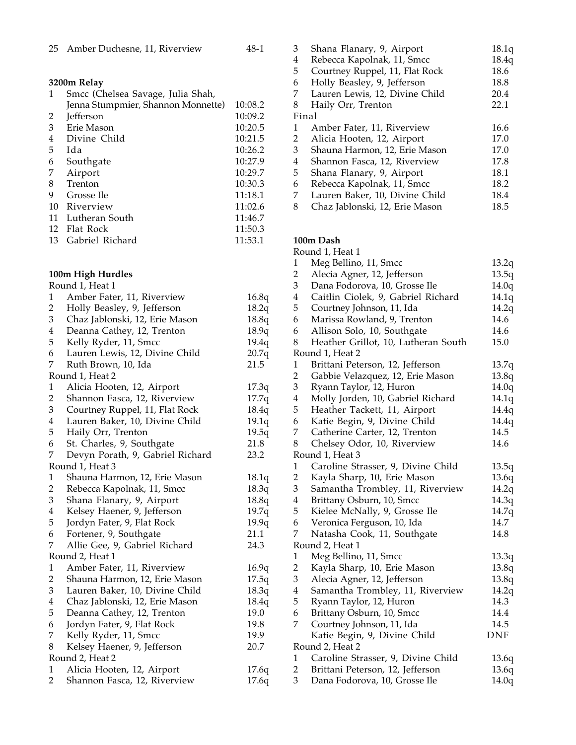|  | 25 Amber Duchesne, 11, Riverview |  |  | 48-1 |
|--|----------------------------------|--|--|------|
|--|----------------------------------|--|--|------|

**3200m Relay**

| 1  | Smcc (Chelsea Savage, Julia Shah,  |         |
|----|------------------------------------|---------|
|    | Jenna Stumpmier, Shannon Monnette) | 10:08.2 |
| 2  | <b>Jefferson</b>                   | 10:09.2 |
| 3  | Erie Mason                         | 10:20.5 |
| 4  | Divine Child                       | 10:21.5 |
| 5  | Ida                                | 10:26.2 |
| 6  | Southgate                          | 10:27.9 |
| 7  | Airport                            | 10:29.7 |
| 8  | Trenton                            | 10:30.3 |
| 9  | Grosse Ile                         | 11:18.1 |
| 10 | Riverview                          | 11:02.6 |
| 11 | Lutheran South                     | 11:46.7 |
| 12 | Flat Rock                          | 11:50.3 |
| 13 | Gabriel Richard                    | 11:53.1 |

# **100m High Hurdles**

|                         | Round 1, Heat 1                  |       |
|-------------------------|----------------------------------|-------|
| $\mathbf{1}$            | Amber Fater, 11, Riverview       | 16.8q |
| 2                       | Holly Beasley, 9, Jefferson      | 18.2q |
| 3                       | Chaz Jablonski, 12, Erie Mason   | 18.8q |
| $\overline{4}$          | Deanna Cathey, 12, Trenton       | 18.9q |
| 5                       | Kelly Ryder, 11, Smcc            | 19.4q |
| 6                       | Lauren Lewis, 12, Divine Child   | 20.7q |
| 7                       | Ruth Brown, 10, Ida              | 21.5  |
|                         | Round 1, Heat 2                  |       |
| 1                       | Alicia Hooten, 12, Airport       | 17.3q |
| $\overline{2}$          | Shannon Fasca, 12, Riverview     | 17.7q |
| 3                       | Courtney Ruppel, 11, Flat Rock   | 18.4q |
| $\overline{\mathbf{4}}$ | Lauren Baker, 10, Divine Child   | 19.1q |
| 5                       | Haily Orr, Trenton               | 19.5q |
| 6                       | St. Charles, 9, Southgate        | 21.8  |
| 7                       | Devyn Porath, 9, Gabriel Richard | 23.2  |
|                         | Round 1, Heat 3                  |       |
| $\mathbf{1}$            | Shauna Harmon, 12, Erie Mason    | 18.1q |
| $\overline{c}$          | Rebecca Kapolnak, 11, Smcc       | 18.3q |
| 3                       | Shana Flanary, 9, Airport        | 18.8q |
| $\overline{\mathbf{4}}$ | Kelsey Haener, 9, Jefferson      | 19.7q |
| 5                       | Jordyn Fater, 9, Flat Rock       | 19.9q |
| 6                       | Fortener, 9, Southgate           | 21.1  |
| 7                       | Allie Gee, 9, Gabriel Richard    | 24.3  |
|                         | Round 2, Heat 1                  |       |
| $\mathbf{1}$            | Amber Fater, 11, Riverview       | 16.9q |
| $\overline{c}$          | Shauna Harmon, 12, Erie Mason    | 17.5q |
| 3                       | Lauren Baker, 10, Divine Child   | 18.3q |
| 4                       | Chaz Jablonski, 12, Erie Mason   | 18.4q |
| 5                       | Deanna Cathey, 12, Trenton       | 19.0  |
| 6                       | Jordyn Fater, 9, Flat Rock       | 19.8  |
| 7                       | Kelly Ryder, 11, Smcc            | 19.9  |
| 8                       | Kelsey Haener, 9, Jefferson      | 20.7  |
|                         | Round 2, Heat 2                  |       |
| 1                       | Alicia Hooten, 12, Airport       | 17.6q |
| $\overline{2}$          | Shannon Fasca, 12, Riverview     | 17.6q |

| 3     | Shana Flanary, 9, Airport      | 18.1q |
|-------|--------------------------------|-------|
| 4     | Rebecca Kapolnak, 11, Smcc     | 18.4q |
| 5     | Courtney Ruppel, 11, Flat Rock | 18.6  |
| 6     | Holly Beasley, 9, Jefferson    | 18.8  |
| 7     | Lauren Lewis, 12, Divine Child | 20.4  |
| 8     | Haily Orr, Trenton             | 22.1  |
| Final |                                |       |
| 1     | Amber Fater, 11, Riverview     | 16.6  |
| 2     | Alicia Hooten, 12, Airport     | 17.0  |
| 3     | Shauna Harmon, 12, Erie Mason  | 17.0  |
| 4     | Shannon Fasca, 12, Riverview   | 17.8  |
| 5     | Shana Flanary, 9, Airport      | 18.1  |
| 6     | Rebecca Kapolnak, 11, Smcc     | 18.2  |
| 7     | Lauren Baker, 10, Divine Child | 18.4  |
| 8     | Chaz Jablonski, 12, Erie Mason | 18.5  |

#### **100m Dash**

|                | Round 1, Heat 1                     |       |
|----------------|-------------------------------------|-------|
| $\mathbf{1}$   | Meg Bellino, 11, Smcc               | 13.2q |
| $\overline{2}$ | Alecia Agner, 12, Jefferson         | 13.5q |
| 3              | Dana Fodorova, 10, Grosse Ile       | 14.0q |
| $\overline{4}$ | Caitlin Ciolek, 9, Gabriel Richard  | 14.1q |
| 5              | Courtney Johnson, 11, Ida           | 14.2q |
| 6              | Marissa Rowland, 9, Trenton         | 14.6  |
| 6              | Allison Solo, 10, Southgate         | 14.6  |
| 8              | Heather Grillot, 10, Lutheran South | 15.0  |
|                | Round 1, Heat 2                     |       |
| $\mathbf{1}$   | Brittani Peterson, 12, Jefferson    | 13.7q |
| $\overline{2}$ | Gabbie Velazquez, 12, Erie Mason    | 13.8q |
| 3              | Ryann Taylor, 12, Huron             | 14.0q |
| 4              | Molly Jorden, 10, Gabriel Richard   | 14.1q |
| 5              | Heather Tackett, 11, Airport        | 14.4q |
| 6              | Katie Begin, 9, Divine Child        | 14.4q |
| 7              | Catherine Carter, 12, Trenton       | 14.5  |
| 8              | Chelsey Odor, 10, Riverview         | 14.6  |
|                | Round 1, Heat 3                     |       |
| $\mathbf{1}$   | Caroline Strasser, 9, Divine Child  | 13.5q |
| $\overline{2}$ | Kayla Sharp, 10, Erie Mason         | 13.6q |
| 3              | Samantha Trombley, 11, Riverview    | 14.2q |
| $\overline{4}$ | Brittany Osburn, 10, Smcc           | 14.3q |
| 5              | Kielee McNally, 9, Grosse Ile       | 14.7q |
| 6              | Veronica Ferguson, 10, Ida          | 14.7  |
| 7              | Natasha Cook, 11, Southgate         | 14.8  |
|                | Round 2, Heat 1                     |       |
| $\mathbf{1}$   | Meg Bellino, 11, Smcc               | 13.3q |
| $\overline{2}$ | Kayla Sharp, 10, Erie Mason         | 13.8q |
| 3              | Alecia Agner, 12, Jefferson         | 13.8q |
| $\overline{4}$ | Samantha Trombley, 11, Riverview    | 14.2q |
| 5              | Ryann Taylor, 12, Huron             | 14.3  |
| 6              | Brittany Osburn, 10, Smcc           | 14.4  |
| 7              | Courtney Johnson, 11, Ida           | 14.5  |
|                | Katie Begin, 9, Divine Child        | DNF   |
|                | Round 2, Heat 2                     |       |
| $\mathbf{1}$   | Caroline Strasser, 9, Divine Child  | 13.6q |
| $\overline{2}$ | Brittani Peterson, 12, Jefferson    | 13.6q |
| 3              | Dana Fodorova, 10, Grosse Ile       | 14.0q |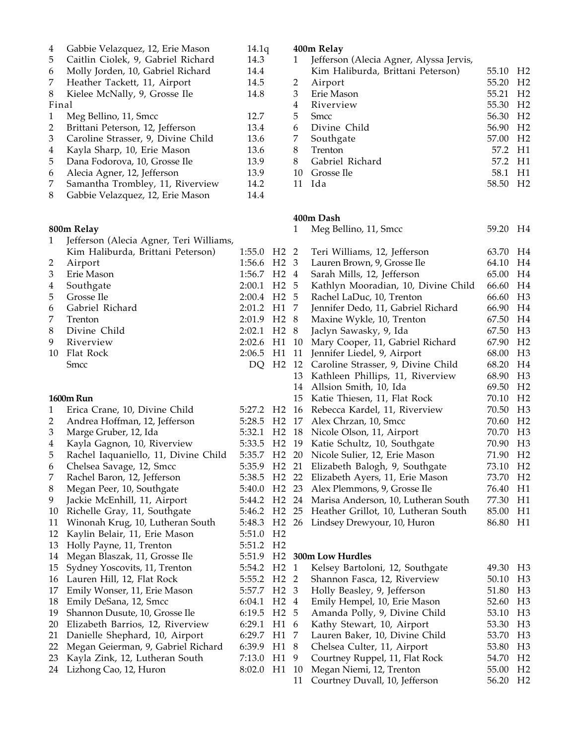| 4                           | Gabbie Velazquez, 12, Erie Mason        | 14.1q  |                |                         | 400m Relay  |
|-----------------------------|-----------------------------------------|--------|----------------|-------------------------|-------------|
| 5                           | Caitlin Ciolek, 9, Gabriel Richard      | 14.3   |                | 1                       | Jefferson   |
| 6                           | Molly Jorden, 10, Gabriel Richard       | 14.4   |                |                         | Kim Hal     |
| 7                           | Heather Tackett, 11, Airport            | 14.5   |                | $\overline{c}$          | Airport     |
| 8                           | Kielee McNally, 9, Grosse Ile           | 14.8   |                | 3                       | Erie Mas    |
| Final                       |                                         |        |                | 4                       | Rivervie    |
| $\mathbf{1}$                | Meg Bellino, 11, Smcc                   | 12.7   |                | 5                       | <b>Smcc</b> |
| $\overline{c}$              | Brittani Peterson, 12, Jefferson        | 13.4   |                | 6                       | Divine (    |
| 3                           | Caroline Strasser, 9, Divine Child      | 13.6   |                | 7                       | Southgat    |
| $\overline{\mathbf{4}}$     | Kayla Sharp, 10, Erie Mason             | 13.6   |                | 8                       | Trenton     |
| 5                           | Dana Fodorova, 10, Grosse Ile           | 13.9   |                | 8                       | Gabriel 1   |
| 6                           | Alecia Agner, 12, Jefferson             | 13.9   |                | 10                      | Grosse Il   |
| 7                           | Samantha Trombley, 11, Riverview        | 14.2   |                | 11                      | Ida         |
| $\,8\,$                     | Gabbie Velazquez, 12, Erie Mason        | 14.4   |                |                         |             |
|                             |                                         |        |                |                         | 400m Dash   |
|                             | 800m Relay                              |        |                | 1                       | Meg Bell    |
| 1                           | Jefferson (Alecia Agner, Teri Williams, |        |                |                         |             |
|                             | Kim Haliburda, Brittani Peterson)       | 1:55.0 | H <sub>2</sub> | 2                       | Teri Will   |
| 2                           | Airport                                 | 1:56.6 | H <sub>2</sub> | 3                       | Lauren B    |
| $\ensuremath{\mathfrak{Z}}$ | Erie Mason                              | 1:56.7 | H <sub>2</sub> | 4                       | Sarah Mi    |
| $\overline{\mathbf{4}}$     | Southgate                               | 2:00.1 | H <sub>2</sub> | 5                       | Kathlyn     |
| 5                           | Grosse Ile                              | 2:00.4 | H <sub>2</sub> | 5                       | Rachel La   |
| 6                           | Gabriel Richard                         | 2:01.2 | H1             | 7                       | Jennifer l  |
| 7                           | Trenton                                 | 2:01.9 | H <sub>2</sub> | 8                       | Maxine V    |
| 8                           | Divine Child                            | 2:02.1 | H <sub>2</sub> | 8                       | Jaclyn Sa   |
| 9                           | Riverview                               | 2:02.6 | H1             | 10                      | Mary Co     |
| 10                          | Flat Rock                               | 2:06.5 | H1             | 11                      | Jennifer 1  |
|                             | Smcc                                    | DQ     | H <sub>2</sub> | 12                      | Caroline    |
|                             |                                         |        |                | 13                      | Kathleen    |
|                             |                                         |        |                | 14                      | Allsion S   |
|                             | <b>1600m Run</b>                        |        |                | 15                      | Katie Th    |
| 1                           | Erica Crane, 10, Divine Child           | 5:27.2 | H <sub>2</sub> | 16                      | Rebecca     |
| $\overline{2}$              | Andrea Hoffman, 12, Jefferson           | 5:28.5 | H <sub>2</sub> | 17                      | Alex Chr    |
| $\mathfrak{Z}$              |                                         | 5:32.1 | H <sub>2</sub> | 18                      | Nicole O    |
| $\overline{\mathbf{4}}$     | Marge Gruber, 12, Ida                   |        | H <sub>2</sub> | 19                      |             |
| 5                           | Kayla Gagnon, 10, Riverview             | 5:33.5 | H <sub>2</sub> |                         | Katie Scl   |
|                             | Rachel Iaquaniello, 11, Divine Child    | 5:35.7 | H <sub>2</sub> | 20                      | Nicole St   |
| 6                           | Chelsea Savage, 12, Smcc                | 5:35.9 |                | 21                      | Elizabeth   |
| 7                           | Rachel Baron, 12, Jefferson             | 5:38.5 | H <sub>2</sub> | 22                      | Elizabeth   |
| 8                           | Megan Peer, 10, Southgate               | 5:40.0 | H <sub>2</sub> | 23                      | Alex Pler   |
| 9                           | Jackie McEnhill, 11, Airport            | 5:44.2 | H <sub>2</sub> | 24                      | Marisa A    |
| 10                          | Richelle Gray, 11, Southgate            | 5:46.2 | H <sub>2</sub> | 25                      | Heather     |
| 11                          | Winonah Krug, 10, Lutheran South        | 5:48.3 | H <sub>2</sub> | 26                      | Lindsey I   |
| 12                          | Kaylin Belair, 11, Erie Mason           | 5:51.0 | H <sub>2</sub> |                         |             |
| 13                          | Holly Payne, 11, Trenton                | 5:51.2 | H <sub>2</sub> |                         |             |
| 14                          | Megan Blaszak, 11, Grosse Ile           | 5:51.9 | H <sub>2</sub> |                         | 300m Low Hu |
| 15                          | Sydney Yoscovits, 11, Trenton           | 5:54.2 | H <sub>2</sub> | $\mathbf{1}$            | Kelsey B    |
| 16                          | Lauren Hill, 12, Flat Rock              | 5:55.2 | H <sub>2</sub> | $\overline{2}$          | Shannon     |
| 17                          | Emily Wonser, 11, Erie Mason            | 5:57.7 | H <sub>2</sub> | 3                       | Holly Be    |
| 18                          | Emily DeSana, 12, Smcc                  | 6:04.1 | H <sub>2</sub> | $\overline{\mathbf{4}}$ | Emily He    |
| 19                          | Shannon Dusute, 10, Grosse Ile          | 6:19.5 | H <sub>2</sub> | 5                       | Amanda      |
| 20                          | Elizabeth Barrios, 12, Riverview        | 6:29.1 | H1             | 6                       | Kathy St    |
| 21                          | Danielle Shephard, 10, Airport          | 6:29.7 | H1             | 7                       | Lauren E    |
| 22                          | Megan Geierman, 9, Gabriel Richard      | 6:39.9 | H1             | 8                       | Chelsea     |
| 23                          | Kayla Zink, 12, Lutheran South          | 7:13.0 | H1             | 9                       | Courtney    |
| 24                          | Lizhong Cao, 12, Huron                  | 8:02.0 | H1             | 10                      | Megan N     |
|                             |                                         |        |                |                         |             |

| 1  | Jefferson (Alecia Agner, Alyssa Jervis, |         |                |
|----|-----------------------------------------|---------|----------------|
|    | Kim Haliburda, Brittani Peterson)       | 55.10   | H <sub>2</sub> |
| 2  | Airport                                 | 55.20   | H <sub>2</sub> |
| 3  | Erie Mason                              | 55.21   | H <sub>2</sub> |
| 4  | Riverview                               | 55.30   | H <sub>2</sub> |
| 5  | <b>Smcc</b>                             | 56.30   | H <sub>2</sub> |
| 6  | Divine Child                            | 56.90   | H <sub>2</sub> |
| 7  | Southgate                               | 57.00   | H <sub>2</sub> |
| 8  | Trenton                                 | 57.2 H1 |                |
| 8  | Gabriel Richard                         | 57.2    | - H1           |
| 10 | Grosse Ile                              | 58.1    | H1             |
| 11 | Ida                                     | 58.50   | H <sub>2</sub> |
|    |                                         |         |                |

|  | 1 Meg Bellino, 11, Smcc             | 59.20 H4 |  |
|--|-------------------------------------|----------|--|
|  | I2 2 - Teri Williams, 12 Jefferson. | 63.70 H4 |  |

| tani i eterson). | 1.00.0                | $\sqrt{112}$   | $\sim$         | ICII WILLIAMS, IZ, JEHEISUH          | 00.ZV | 1 1 T          |
|------------------|-----------------------|----------------|----------------|--------------------------------------|-------|----------------|
|                  | 1:56.6 H2 3           |                |                | Lauren Brown, 9, Grosse Ile          |       | H4             |
|                  | 1:56.7 H <sub>2</sub> |                | $\overline{4}$ | Sarah Mills, 12, Jefferson           | 65.00 | H4             |
|                  | 2:00.1                | H <sub>2</sub> | 5              | Kathlyn Mooradian, 10, Divine Child  | 66.60 | H4             |
|                  | 2:00.4 H <sub>2</sub> |                | 5              | Rachel LaDuc, 10, Trenton            | 66.60 | H <sub>3</sub> |
|                  | 2:01.2 H1             |                | 7              | Jennifer Dedo, 11, Gabriel Richard   | 66.90 | H <sub>4</sub> |
|                  | 2:01.9 H <sub>2</sub> |                | 8              | Maxine Wykle, 10, Trenton            | 67.50 | H <sub>4</sub> |
|                  | 2:02.1                | H <sub>2</sub> | 8              | Jaclyn Sawasky, 9, Ida               | 67.50 | H <sub>3</sub> |
|                  | 2:02.6                | H1             | 10             | Mary Cooper, 11, Gabriel Richard     | 67.90 | H <sub>2</sub> |
|                  | 2:06.5                | H1             | 11             | Jennifer Liedel, 9, Airport          | 68.00 | H <sub>3</sub> |
|                  | DQ                    | H <sub>2</sub> | 12             | Caroline Strasser, 9, Divine Child   | 68.20 | H <sub>4</sub> |
|                  |                       |                | 13             | Kathleen Phillips, 11, Riverview     | 68.90 | H <sub>3</sub> |
|                  |                       |                | 14             | Allsion Smith, 10, Ida               | 69.50 | H <sub>2</sub> |
|                  |                       |                | 15             | Katie Thiesen, 11, Flat Rock         | 70.10 | H <sub>2</sub> |
| ine Child        | 5:27.2                | H <sub>2</sub> |                | 16 Rebecca Kardel, 11, Riverview     | 70.50 | H <sub>3</sub> |
| Jefferson        | 5:28.5                | H <sub>2</sub> | 17             | Alex Chrzan, 10, Smcc                | 70.60 | H <sub>2</sub> |
| а                | 5:32.1                | H <sub>2</sub> | 18             | Nicole Olson, 11, Airport            | 70.70 | H <sub>3</sub> |
| iverview!        | 5:33.5                | H <sub>2</sub> | 19             | Katie Schultz, 10, Southgate         | 70.90 | H <sub>3</sub> |
| 11, Divine Child | 5:35.7 H2             |                | 20             | Nicole Sulier, 12, Erie Mason        | 71.90 | H <sub>2</sub> |
| Smcc             | 5:35.9 H2             |                | 21             | Elizabeth Balogh, 9, Southgate       | 73.10 | H <sub>2</sub> |
| ferson           | 5:38.5                | H <sub>2</sub> |                | 22 Elizabeth Ayers, 11, Erie Mason   | 73.70 | H <sub>2</sub> |
| thgate           | 5:40.0                | H <sub>2</sub> | 23             | Alex Plemmons, 9, Grosse Ile         | 76.40 | H1             |
| Airport          | 5:44.2                | H <sub>2</sub> | 24             | Marisa Anderson, 10, Lutheran South  | 77.30 | H1             |
| outhgate         | 5:46.2 H <sub>2</sub> |                | 25             | Heather Grillot, 10, Lutheran South  | 85.00 | H1             |
| utheran South.   | 5:48.3 H <sub>2</sub> |                | 26             | 86.80<br>Lindsey Drewyour, 10, Huron |       | H1             |
| ie Mason         | 5:51.0                | H <sub>2</sub> |                |                                      |       |                |
| nton             | 5:51.2                | H <sub>2</sub> |                |                                      |       |                |
| Grosse Ile       | 5:51.9                | H2             |                | 300m Low Hurdles                     |       |                |
| , Trenton        | 5:54.2                | H <sub>2</sub> | $\mathbf{1}$   | Kelsey Bartoloni, 12, Southgate      | 49.30 | H <sub>3</sub> |
| Rock             | 5:55.2                | H <sub>2</sub> | 2              | Shannon Fasca, 12, Riverview         | 50.10 | H <sub>3</sub> |
| ie Mason         | 5:57.7                | H <sub>2</sub> | 3              | Holly Beasley, 9, Jefferson          | 51.80 | H <sub>3</sub> |
| ncc              | 6:04.1                | H <sub>2</sub> | $\overline{4}$ | Emily Hempel, 10, Erie Mason         | 52.60 | H <sub>3</sub> |
| Grosse Ile       | 6:19.5                | H <sub>2</sub> | 5              | Amanda Polly, 9, Divine Child        | 53.10 | H <sub>3</sub> |
| 2, Riverview     | 6:29.1                | H1             | 6              | Kathy Stewart, 10, Airport           | 53.30 | H <sub>3</sub> |
| 10, Airport      | 6:29.7                | H1             | 7              | Lauren Baker, 10, Divine Child       | 53.70 | H <sub>3</sub> |
| Gabriel Richard  | 6:39.9                | H1             | $\,8\,$        | Chelsea Culter, 11, Airport          | 53.80 | H <sub>3</sub> |
| ieran South      | 7:13.0                | H1             | 9              | Courtney Ruppel, 11, Flat Rock       | 54.70 | H <sub>2</sub> |
| on:              | 8:02.0                | H1             | 10             | Megan Niemi, 12, Trenton             | 55.00 | H <sub>2</sub> |
|                  |                       |                | 11             | Courtney Duvall, 10, Jefferson       | 56.20 | H <sub>2</sub> |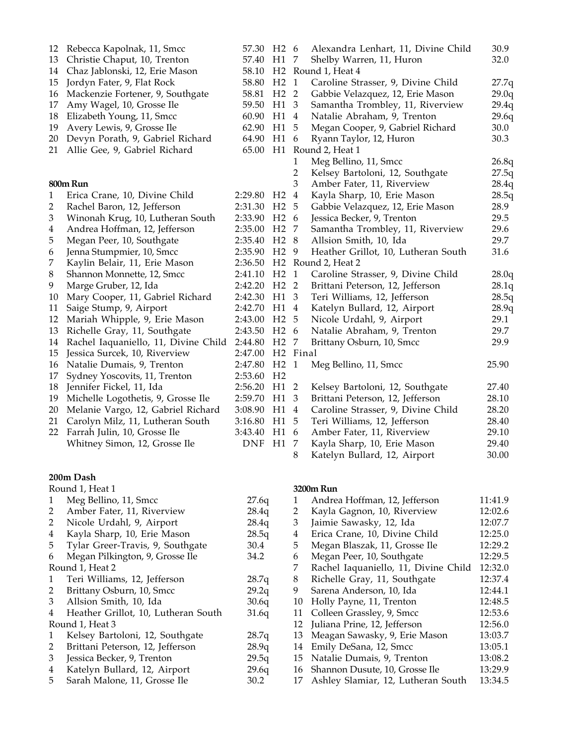| 12           | Rebecca Kapolnak, 11, Smcc           | 57.30      | H2 6                 |                                 | Alexandra Lenhart, 11, Divine Child | 30.9  |
|--------------|--------------------------------------|------------|----------------------|---------------------------------|-------------------------------------|-------|
| 13           | Christie Chaput, 10, Trenton         | 57.40      | H1                   | - 7<br>Shelby Warren, 11, Huron |                                     | 32.0  |
| 14           | Chaz Jablonski, 12, Erie Mason       | 58.10      |                      | H <sub>2</sub> Round 1, Heat 4  |                                     |       |
| 15           | Jordyn Fater, 9, Flat Rock           | 58.80      | H <sub>2</sub>       | $\overline{1}$                  | Caroline Strasser, 9, Divine Child  | 27.7q |
| 16           | Mackenzie Fortener, 9, Southgate     | 58.81      | H <sub>2</sub> 2     |                                 | Gabbie Velazquez, 12, Erie Mason    | 29.0q |
| 17           | Amy Wagel, 10, Grosse Ile            | 59.50      | H1                   | $\overline{3}$                  | Samantha Trombley, 11, Riverview    | 29.4q |
| 18           | Elizabeth Young, 11, Smcc            | 60.90      | H1                   | $\overline{4}$                  | Natalie Abraham, 9, Trenton         | 29.6q |
| 19           | Avery Lewis, 9, Grosse Ile           | 62.90      | H1                   | - 5                             | Megan Cooper, 9, Gabriel Richard    | 30.0  |
| 20           | Devyn Porath, 9, Gabriel Richard     | 64.90      | H1                   | 6                               | Ryann Taylor, 12, Huron             | 30.3  |
| 21           | Allie Gee, 9, Gabriel Richard        | 65.00      |                      |                                 | H1 Round 2, Heat 1                  |       |
|              |                                      |            |                      | 1                               | Meg Bellino, 11, Smcc               | 26.8q |
|              |                                      |            |                      | 2                               | Kelsey Bartoloni, 12, Southgate     | 27.5q |
|              | 800m Run                             |            |                      | 3                               | Amber Fater, 11, Riverview          | 28.4q |
| $\mathbf{1}$ | Erica Crane, 10, Divine Child        | 2:29.80    | H2                   | $\overline{4}$                  | Kayla Sharp, 10, Erie Mason         | 28.5q |
| 2            | Rachel Baron, 12, Jefferson          | 2:31.30    | H <sub>2</sub> 5     |                                 | Gabbie Velazquez, 12, Erie Mason    | 28.9  |
| 3            | Winonah Krug, 10, Lutheran South     | 2:33.90    | H <sub>2</sub> 6     |                                 | Jessica Becker, 9, Trenton          | 29.5  |
| 4            | Andrea Hoffman, 12, Jefferson        | 2:35.00    | H <sub>2</sub> 7     |                                 | Samantha Trombley, 11, Riverview    | 29.6  |
| 5            | Megan Peer, 10, Southgate            | 2:35.40    | H <sub>2</sub> 8     |                                 | Allsion Smith, 10, Ida              | 29.7  |
| 6            | Jenna Stumpmier, 10, Smcc            | 2:35.90    | H <sub>2</sub> 9     |                                 | Heather Grillot, 10, Lutheran South | 31.6  |
| 7            | Kaylin Belair, 11, Erie Mason        | 2:36.50    |                      |                                 | H <sub>2</sub> Round 2, Heat 2      |       |
| $\,8\,$      | Shannon Monnette, 12, Smcc           | 2:41.10    | H2 <sub>1</sub>      |                                 | Caroline Strasser, 9, Divine Child  | 28.0q |
| 9            | Marge Gruber, 12, Ida                | 2:42.20    | H2 <sub>2</sub>      |                                 | Brittani Peterson, 12, Jefferson    | 28.1q |
| 10           | Mary Cooper, 11, Gabriel Richard     | 2:42.30    | H1 <sub>3</sub>      |                                 | Teri Williams, 12, Jefferson        | 28.5q |
| 11           | Saige Stump, 9, Airport              | 2:42.70    | H1 4                 |                                 | Katelyn Bullard, 12, Airport        | 28.9q |
| 12           | Mariah Whipple, 9, Erie Mason        | 2:43.00    | H <sub>2</sub> 5     |                                 | Nicole Urdahl, 9, Airport           | 29.1  |
| 13           | Richelle Gray, 11, Southgate         | 2:43.50    | H <sub>2</sub> 6     |                                 | Natalie Abraham, 9, Trenton         | 29.7  |
| 14           | Rachel Iaquaniello, 11, Divine Child | 2:44.80    | H <sub>2</sub> 7     |                                 | Brittany Osburn, 10, Smcc           | 29.9  |
| 15           | Jessica Surcek, 10, Riverview        | 2:47.00    | H <sub>2</sub> Final |                                 |                                     |       |
| 16           | Natalie Dumais, 9, Trenton           | 2:47.80    | H2 <sub>1</sub>      |                                 | Meg Bellino, 11, Smcc               | 25.90 |
| 17           | Sydney Yoscovits, 11, Trenton        | 2:53.60    | H <sub>2</sub>       |                                 |                                     |       |
| 18           | Jennifer Fickel, 11, Ida             | 2:56.20    | H1 2                 |                                 | Kelsey Bartoloni, 12, Southgate     | 27.40 |
| 19           | Michelle Logothetis, 9, Grosse Ile   | 2:59.70    | H1 <sub>3</sub>      |                                 | Brittani Peterson, 12, Jefferson    | 28.10 |
| 20           | Melanie Vargo, 12, Gabriel Richard   | 3:08.90    | H1 4                 |                                 | Caroline Strasser, 9, Divine Child  | 28.20 |
| 21           | Carolyn Milz, 11, Lutheran South     | 3:16.80    | H1 5                 |                                 | Teri Williams, 12, Jefferson        | 28.40 |
|              | 22 Farrah Julin, 10, Grosse Ile      | 3:43.40    | H1 6                 |                                 | Amber Fater, 11, Riverview          | 29.10 |
|              | Whitney Simon, 12, Grosse Ile        | <b>DNF</b> | H1 7                 |                                 | Kayla Sharp, 10, Erie Mason         | 29.40 |
|              |                                      |            |                      | 8                               | Katelyn Bullard, 12, Airport        | 30.00 |

#### **200m Dash**

|                 | Round 1, Heat 1                     |       |  |  |
|-----------------|-------------------------------------|-------|--|--|
| 1               | Meg Bellino, 11, Smcc               | 27.6q |  |  |
| 2               | Amber Fater, 11, Riverview          | 28.4q |  |  |
| $\overline{2}$  | Nicole Urdahl, 9, Airport           | 28.4q |  |  |
| 4               | Kayla Sharp, 10, Erie Mason         | 28.5q |  |  |
| 5               | Tylar Greer-Travis, 9, Southgate    | 30.4  |  |  |
| 6               | Megan Pilkington, 9, Grosse Ile     | 34.2  |  |  |
|                 | Round 1, Heat 2                     |       |  |  |
| 1               | Teri Williams, 12, Jefferson        | 28.7q |  |  |
| $\overline{2}$  | Brittany Osburn, 10, Smcc           | 29.2q |  |  |
| 3               | Allsion Smith, 10, Ida              | 30.6q |  |  |
| 4               | Heather Grillot, 10, Lutheran South | 31.6q |  |  |
| Round 1, Heat 3 |                                     |       |  |  |
| 1               | Kelsey Bartoloni, 12, Southgate     | 28.7q |  |  |
| $\overline{2}$  | Brittani Peterson, 12, Jefferson    | 28.9q |  |  |
| 3               | Jessica Becker, 9, Trenton          | 29.5q |  |  |
| 4               | Katelyn Bullard, 12, Airport        | 29.6q |  |  |
| 5               | Sarah Malone, 11, Grosse Ile        | 30.2  |  |  |
|                 |                                     |       |  |  |

### **3200m Run**

| 1  | Andrea Hoffman, 12, Jefferson        | 11:41.9 |
|----|--------------------------------------|---------|
| 2  | Kayla Gagnon, 10, Riverview          | 12:02.6 |
| 3  | Jaimie Sawasky, 12, Ida              | 12:07.7 |
| 4  | Erica Crane, 10, Divine Child        | 12:25.0 |
| 5  | Megan Blaszak, 11, Grosse Ile        | 12:29.2 |
| 6  | Megan Peer, 10, Southgate            | 12:29.5 |
| 7  | Rachel Iaquaniello, 11, Divine Child | 12:32.0 |
| 8  | Richelle Gray, 11, Southgate         | 12:37.4 |
| 9  | Sarena Anderson, 10, Ida             | 12:44.1 |
| 10 | Holly Payne, 11, Trenton             | 12:48.5 |
| 11 | Colleen Grassley, 9, Smcc            | 12:53.6 |
| 12 | Juliana Prine, 12, Jefferson         | 12:56.0 |
| 13 | Meagan Sawasky, 9, Erie Mason        | 13:03.7 |
| 14 | Emily DeSana, 12, Smcc               | 13:05.1 |
| 15 | Natalie Dumais, 9, Trenton           | 13:08.2 |
| 16 | Shannon Dusute, 10, Grosse Ile       | 13:29.9 |
| 17 | Ashley Slamiar, 12, Lutheran South   | 13:34.5 |
|    |                                      |         |